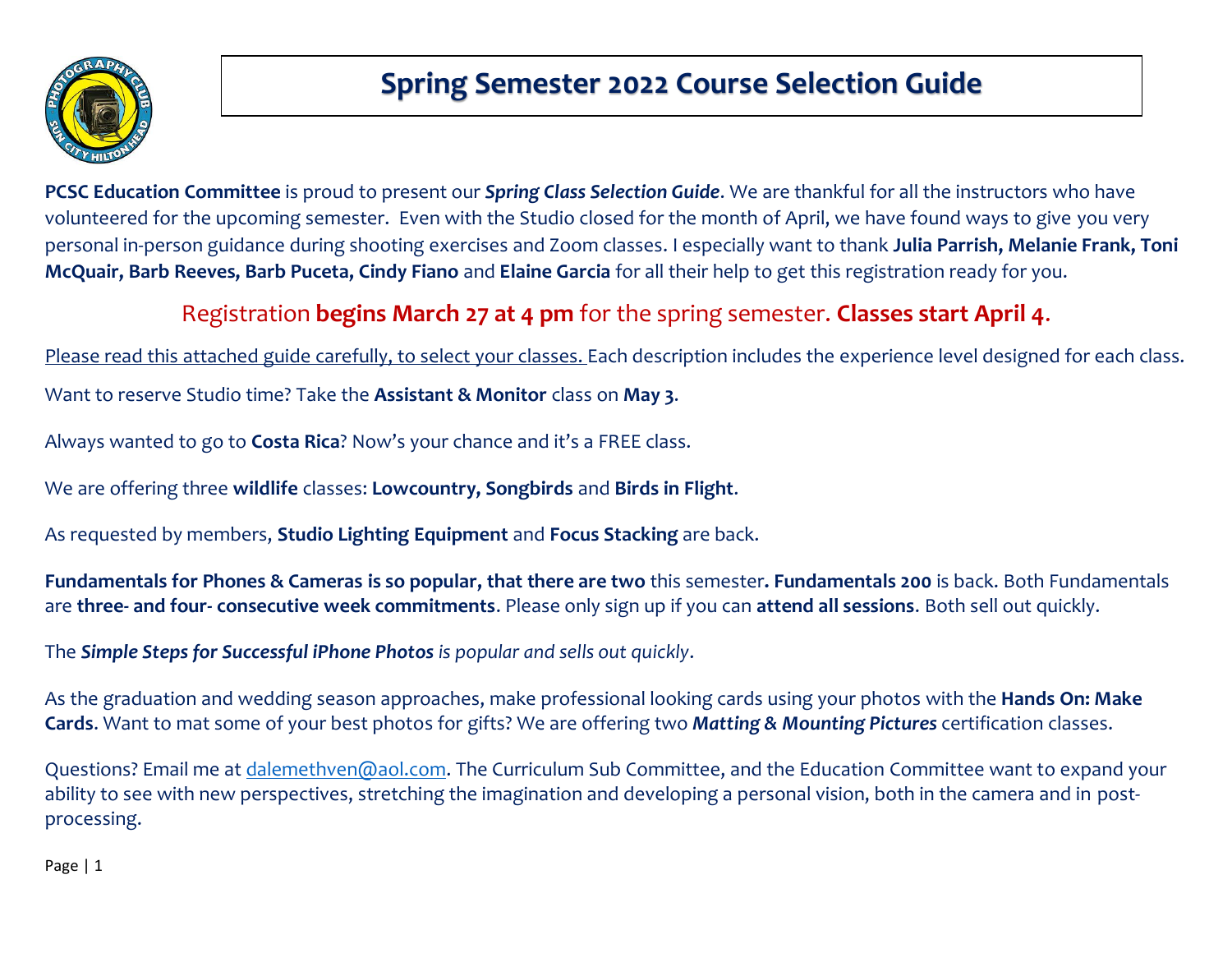

**PCSC Education Committee** is proud to present our *Spring Class Selection Guide*. We are thankful for all the instructors who have volunteered for the upcoming semester. Even with the Studio closed for the month of April, we have found ways to give you very personal in-person guidance during shooting exercises and Zoom classes. I especially want to thank **Julia Parrish, Melanie Frank, Toni McQuair, Barb Reeves, Barb Puceta, Cindy Fiano** and **Elaine Garcia** for all their help to get this registration ready for you.

## Registration **begins March 27 at 4 pm** for the spring semester. **Classes start April 4**.

Please read this attached guide carefully, to select your classes. Each description includes the experience level designed for each class. Want to reserve Studio time? Take the **Assistant & Monitor** class on **May 3**.

Always wanted to go to **Costa Rica**? Now's your chance and it's a FREE class.

We are offering three **wildlife** classes: **Lowcountry, Songbirds** and **Birds in Flight**.

As requested by members, **Studio Lighting Equipment** and **Focus Stacking** are back.

**Fundamentals for Phones & Cameras is so popular, that there are two** this semester**. Fundamentals 200** is back. Both Fundamentals are **three- and four- consecutive week commitments**. Please only sign up if you can **attend all sessions**. Both sell out quickly.

The *Simple Steps for Successful iPhone Photos is popular and sells out quickly*.

As the graduation and wedding season approaches, make professional looking cards using your photos with the **Hands On: Make Cards**. Want to mat some of your best photos for gifts? We are offering two *Matting & Mounting Pictures* certification classes.

Questions? Email me at [dalemethven@aol.com.](mailto:dalemethven@aol.com) The Curriculum Sub Committee, and the Education Committee want to expand your ability to see with new perspectives, stretching the imagination and developing a personal vision, both in the camera and in postprocessing.

Page | 1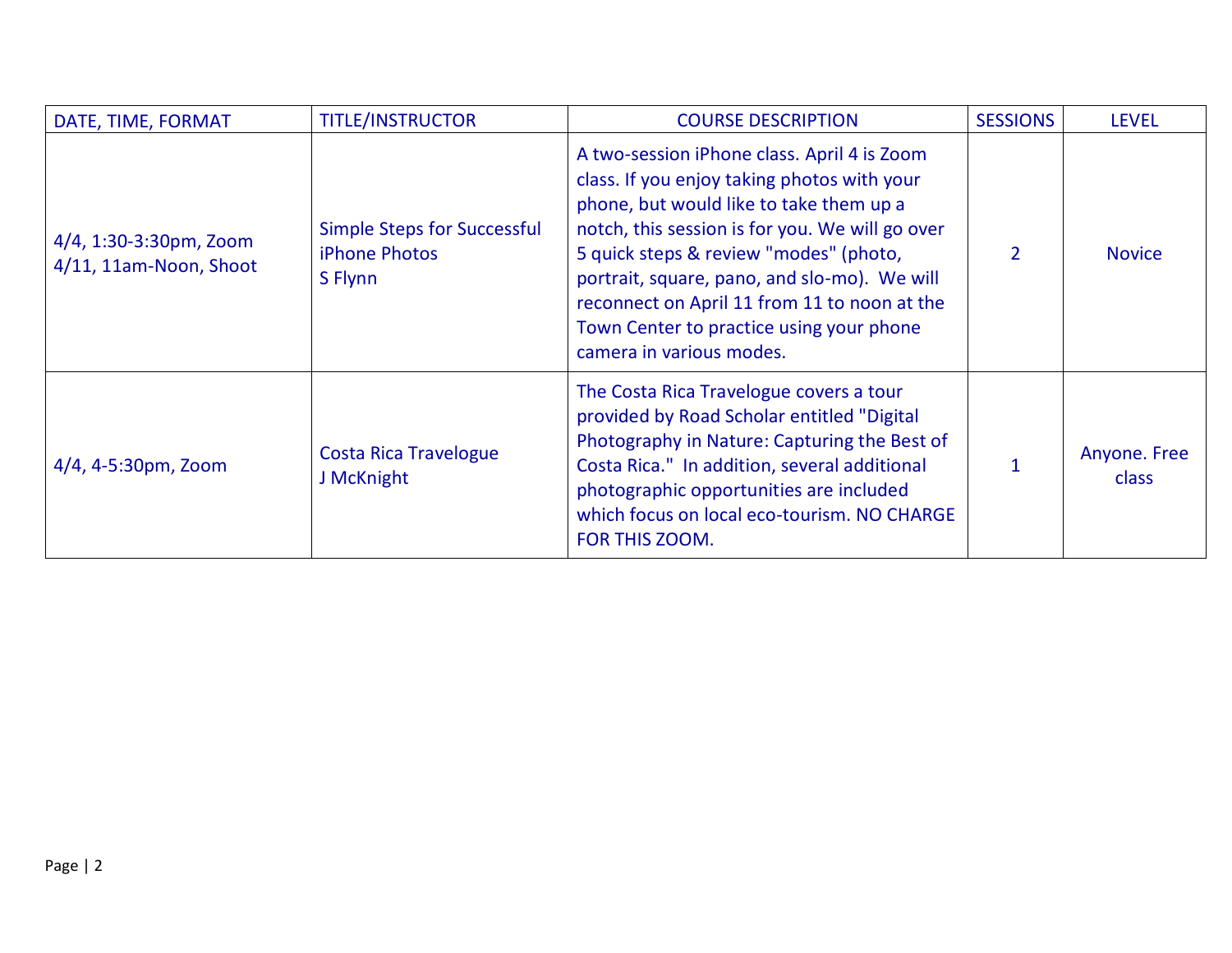| DATE, TIME, FORMAT                               | <b>TITLE/INSTRUCTOR</b>                                               | <b>COURSE DESCRIPTION</b>                                                                                                                                                                                                                                                                                                                                                                                  | <b>SESSIONS</b> | <b>LEVEL</b>                 |
|--------------------------------------------------|-----------------------------------------------------------------------|------------------------------------------------------------------------------------------------------------------------------------------------------------------------------------------------------------------------------------------------------------------------------------------------------------------------------------------------------------------------------------------------------------|-----------------|------------------------------|
| 4/4, 1:30-3:30pm, Zoom<br>4/11, 11am-Noon, Shoot | <b>Simple Steps for Successful</b><br><b>iPhone Photos</b><br>S Flynn | A two-session iPhone class. April 4 is Zoom<br>class. If you enjoy taking photos with your<br>phone, but would like to take them up a<br>notch, this session is for you. We will go over<br>5 quick steps & review "modes" (photo,<br>portrait, square, pano, and slo-mo). We will<br>reconnect on April 11 from 11 to noon at the<br>Town Center to practice using your phone<br>camera in various modes. | 2               | <b>Novice</b>                |
| 4/4, 4-5:30pm, Zoom                              | <b>Costa Rica Travelogue</b><br>J McKnight                            | The Costa Rica Travelogue covers a tour<br>provided by Road Scholar entitled "Digital<br>Photography in Nature: Capturing the Best of<br>Costa Rica." In addition, several additional<br>photographic opportunities are included<br>which focus on local eco-tourism. NO CHARGE<br>FOR THIS ZOOM.                                                                                                          |                 | Anyone. Free<br><b>class</b> |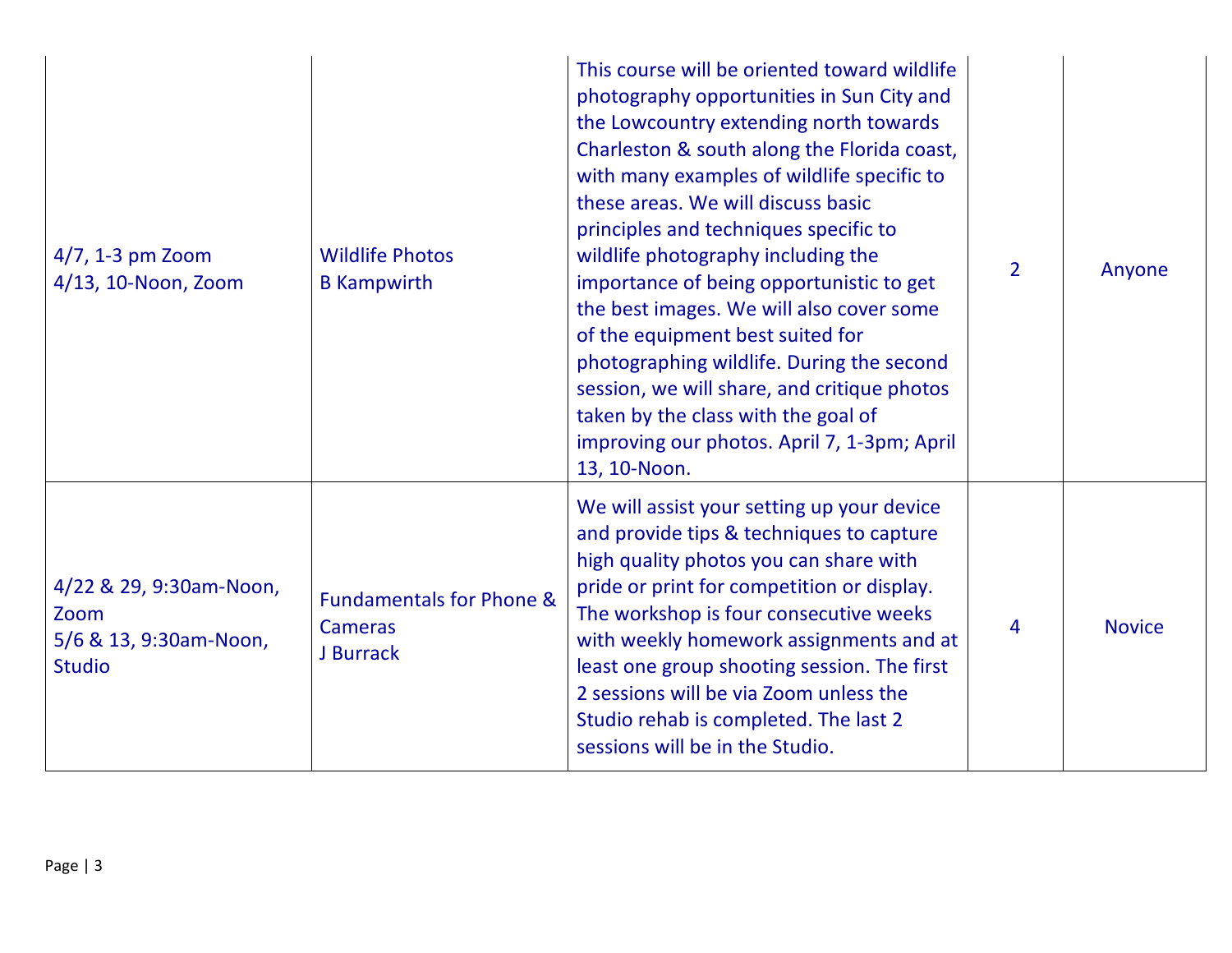| $4/7$ , 1-3 pm Zoom<br>4/13, 10-Noon, Zoom                                 | <b>Wildlife Photos</b><br><b>B</b> Kampwirth                       | This course will be oriented toward wildlife<br>photography opportunities in Sun City and<br>the Lowcountry extending north towards<br>Charleston & south along the Florida coast,<br>with many examples of wildlife specific to<br>these areas. We will discuss basic<br>principles and techniques specific to<br>wildlife photography including the<br>importance of being opportunistic to get<br>the best images. We will also cover some<br>of the equipment best suited for<br>photographing wildlife. During the second<br>session, we will share, and critique photos<br>taken by the class with the goal of<br>improving our photos. April 7, 1-3pm; April<br>13, 10-Noon. | $\overline{2}$ | Anyone        |
|----------------------------------------------------------------------------|--------------------------------------------------------------------|-------------------------------------------------------------------------------------------------------------------------------------------------------------------------------------------------------------------------------------------------------------------------------------------------------------------------------------------------------------------------------------------------------------------------------------------------------------------------------------------------------------------------------------------------------------------------------------------------------------------------------------------------------------------------------------|----------------|---------------|
| 4/22 & 29, 9:30am-Noon,<br>Zoom<br>5/6 & 13, 9:30am-Noon,<br><b>Studio</b> | <b>Fundamentals for Phone &amp;</b><br><b>Cameras</b><br>J Burrack | We will assist your setting up your device<br>and provide tips & techniques to capture<br>high quality photos you can share with<br>pride or print for competition or display.<br>The workshop is four consecutive weeks<br>with weekly homework assignments and at<br>least one group shooting session. The first<br>2 sessions will be via Zoom unless the<br>Studio rehab is completed. The last 2<br>sessions will be in the Studio.                                                                                                                                                                                                                                            | 4              | <b>Novice</b> |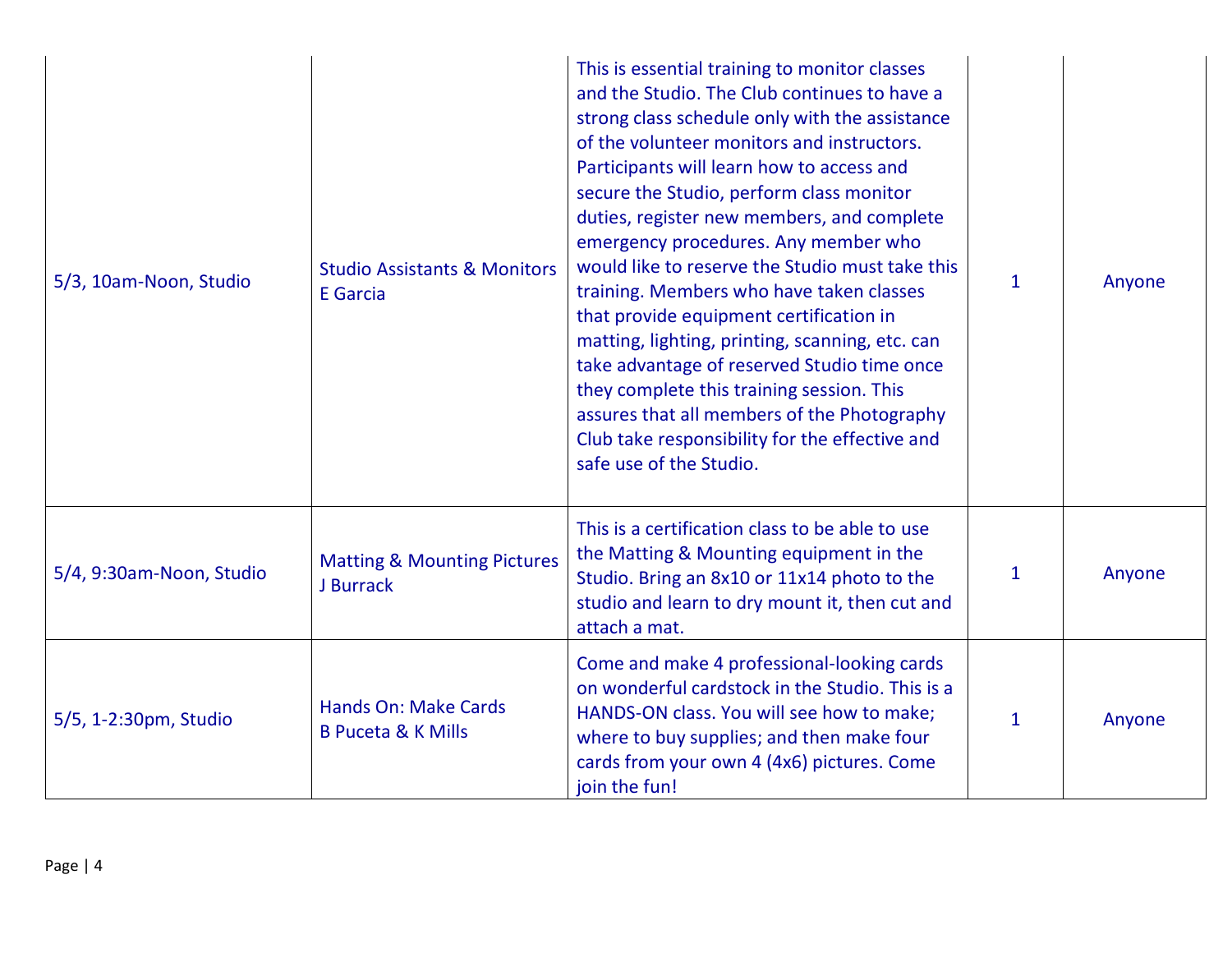| 5/3, 10am-Noon, Studio   | <b>Studio Assistants &amp; Monitors</b><br><b>E</b> Garcia   | This is essential training to monitor classes<br>and the Studio. The Club continues to have a<br>strong class schedule only with the assistance<br>of the volunteer monitors and instructors.<br>Participants will learn how to access and<br>secure the Studio, perform class monitor<br>duties, register new members, and complete<br>emergency procedures. Any member who<br>would like to reserve the Studio must take this<br>training. Members who have taken classes<br>that provide equipment certification in<br>matting, lighting, printing, scanning, etc. can<br>take advantage of reserved Studio time once<br>they complete this training session. This<br>assures that all members of the Photography<br>Club take responsibility for the effective and<br>safe use of the Studio. | $\mathbf{1}$ | Anyone |
|--------------------------|--------------------------------------------------------------|---------------------------------------------------------------------------------------------------------------------------------------------------------------------------------------------------------------------------------------------------------------------------------------------------------------------------------------------------------------------------------------------------------------------------------------------------------------------------------------------------------------------------------------------------------------------------------------------------------------------------------------------------------------------------------------------------------------------------------------------------------------------------------------------------|--------------|--------|
| 5/4, 9:30am-Noon, Studio | <b>Matting &amp; Mounting Pictures</b><br>J Burrack          | This is a certification class to be able to use<br>the Matting & Mounting equipment in the<br>Studio. Bring an 8x10 or 11x14 photo to the<br>studio and learn to dry mount it, then cut and<br>attach a mat.                                                                                                                                                                                                                                                                                                                                                                                                                                                                                                                                                                                      | $\mathbf{1}$ | Anyone |
| 5/5, 1-2:30pm, Studio    | <b>Hands On: Make Cards</b><br><b>B Puceta &amp; K Mills</b> | Come and make 4 professional-looking cards<br>on wonderful cardstock in the Studio. This is a<br>HANDS-ON class. You will see how to make;<br>where to buy supplies; and then make four<br>cards from your own 4 (4x6) pictures. Come<br>join the fun!                                                                                                                                                                                                                                                                                                                                                                                                                                                                                                                                            | $\mathbf{1}$ | Anyone |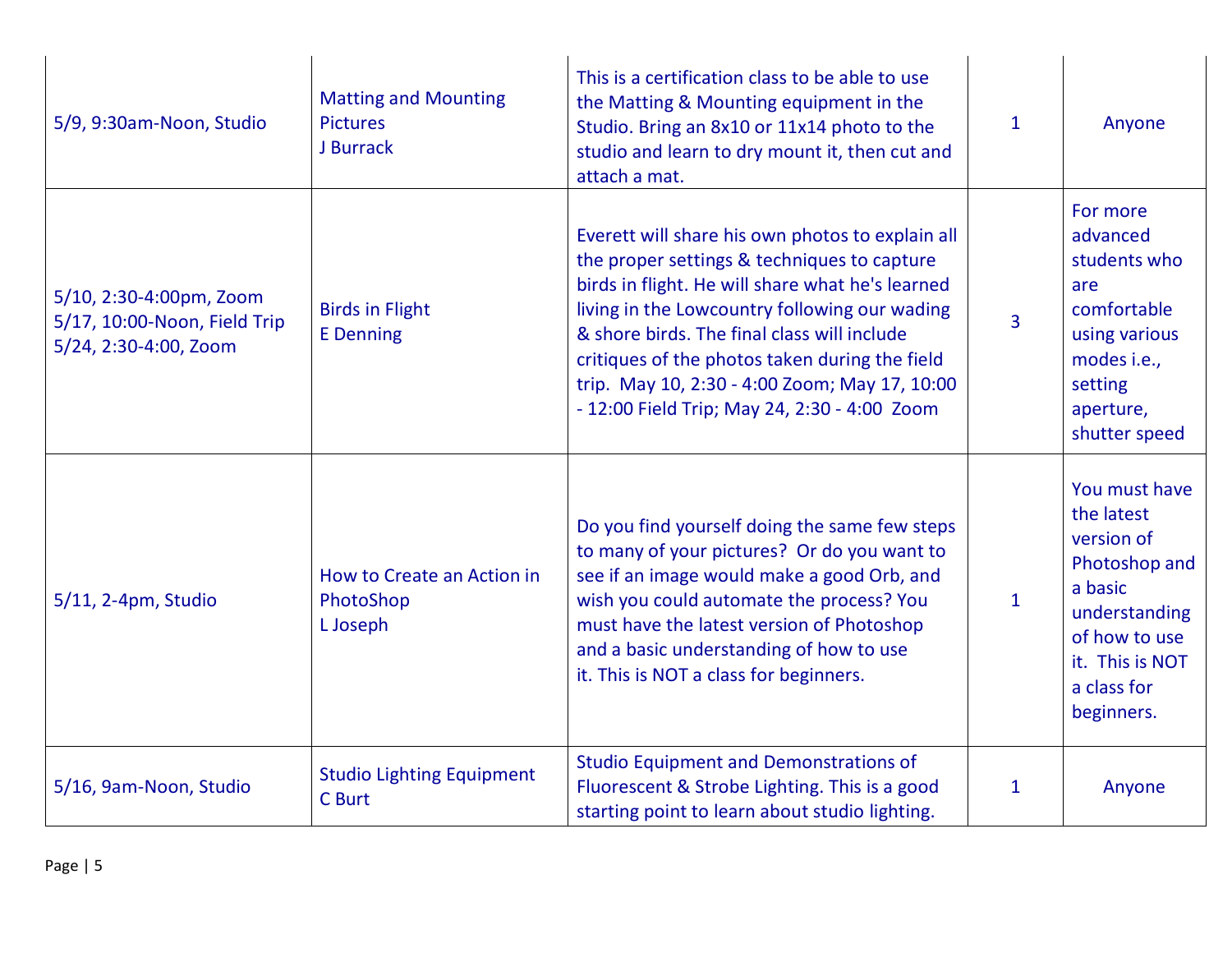| 5/9, 9:30am-Noon, Studio                                                         | <b>Matting and Mounting</b><br><b>Pictures</b><br>J Burrack | This is a certification class to be able to use<br>the Matting & Mounting equipment in the<br>Studio. Bring an 8x10 or 11x14 photo to the<br>studio and learn to dry mount it, then cut and<br>attach a mat.                                                                                                                                                                                           | 1              | Anyone                                                                                                                                                  |
|----------------------------------------------------------------------------------|-------------------------------------------------------------|--------------------------------------------------------------------------------------------------------------------------------------------------------------------------------------------------------------------------------------------------------------------------------------------------------------------------------------------------------------------------------------------------------|----------------|---------------------------------------------------------------------------------------------------------------------------------------------------------|
| 5/10, 2:30-4:00pm, Zoom<br>5/17, 10:00-Noon, Field Trip<br>5/24, 2:30-4:00, Zoom | <b>Birds in Flight</b><br><b>E</b> Denning                  | Everett will share his own photos to explain all<br>the proper settings & techniques to capture<br>birds in flight. He will share what he's learned<br>living in the Lowcountry following our wading<br>& shore birds. The final class will include<br>critiques of the photos taken during the field<br>trip. May 10, 2:30 - 4:00 Zoom; May 17, 10:00<br>- 12:00 Field Trip; May 24, 2:30 - 4:00 Zoom | $\overline{3}$ | For more<br>advanced<br>students who<br>are<br>comfortable<br>using various<br>modes i.e.,<br>setting<br>aperture,<br>shutter speed                     |
| 5/11, 2-4pm, Studio                                                              | How to Create an Action in<br>PhotoShop<br>L Joseph         | Do you find yourself doing the same few steps<br>to many of your pictures? Or do you want to<br>see if an image would make a good Orb, and<br>wish you could automate the process? You<br>must have the latest version of Photoshop<br>and a basic understanding of how to use<br>it. This is NOT a class for beginners.                                                                               | $\mathbf{1}$   | You must have<br>the latest<br>version of<br>Photoshop and<br>a basic<br>understanding<br>of how to use<br>it. This is NOT<br>a class for<br>beginners. |
| 5/16, 9am-Noon, Studio                                                           | <b>Studio Lighting Equipment</b><br>C Burt                  | <b>Studio Equipment and Demonstrations of</b><br>Fluorescent & Strobe Lighting. This is a good<br>starting point to learn about studio lighting.                                                                                                                                                                                                                                                       | 1              | Anyone                                                                                                                                                  |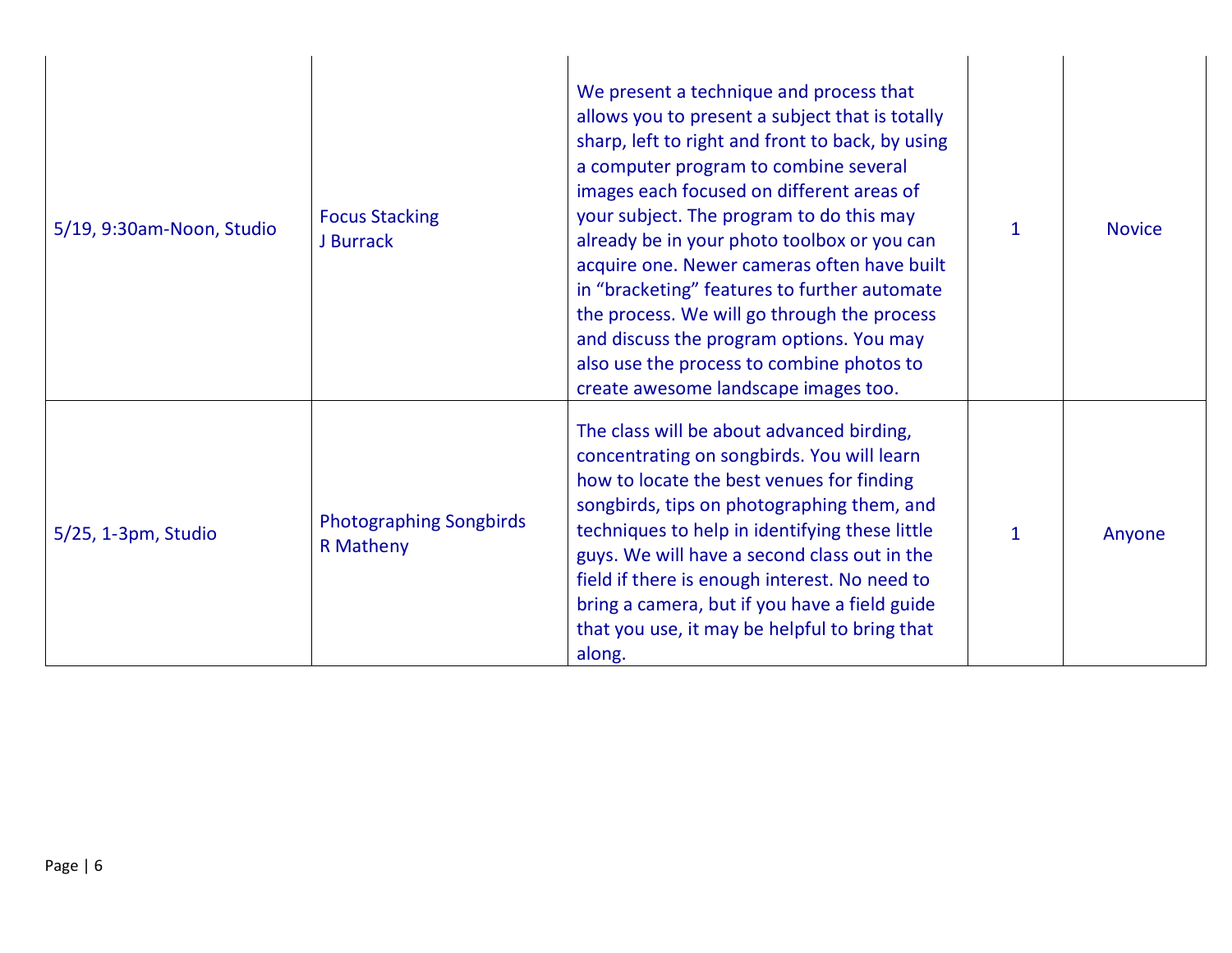| 5/19, 9:30am-Noon, Studio | <b>Focus Stacking</b><br>J Burrack                 | We present a technique and process that<br>allows you to present a subject that is totally<br>sharp, left to right and front to back, by using<br>a computer program to combine several<br>images each focused on different areas of<br>your subject. The program to do this may<br>already be in your photo toolbox or you can<br>acquire one. Newer cameras often have built<br>in "bracketing" features to further automate<br>the process. We will go through the process<br>and discuss the program options. You may<br>also use the process to combine photos to<br>create awesome landscape images too. | $\mathbf 1$ | <b>Novice</b> |
|---------------------------|----------------------------------------------------|----------------------------------------------------------------------------------------------------------------------------------------------------------------------------------------------------------------------------------------------------------------------------------------------------------------------------------------------------------------------------------------------------------------------------------------------------------------------------------------------------------------------------------------------------------------------------------------------------------------|-------------|---------------|
| 5/25, 1-3pm, Studio       | <b>Photographing Songbirds</b><br><b>R</b> Matheny | The class will be about advanced birding,<br>concentrating on songbirds. You will learn<br>how to locate the best venues for finding<br>songbirds, tips on photographing them, and<br>techniques to help in identifying these little<br>guys. We will have a second class out in the<br>field if there is enough interest. No need to<br>bring a camera, but if you have a field guide<br>that you use, it may be helpful to bring that<br>along.                                                                                                                                                              | $\mathbf 1$ | Anyone        |